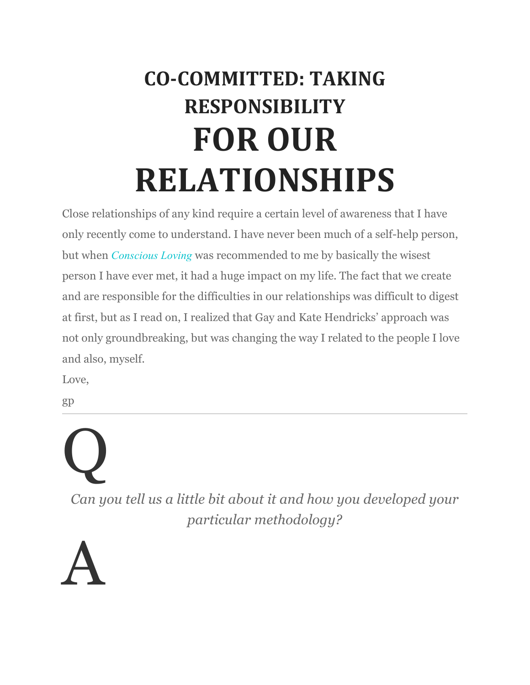### **CO-COMMITTED: TAKING RESPONSIBILITY FOR OUR RELATIONSHIPS**

Close relationships of any kind require a certain level of awareness that I have only recently come to understand. I have never been much of a self-help person, but when *Conscious Loving* was recommended to me by basically the wisest person I have ever met, it had a huge impact on my life. The fact that we create and are responsible for the difficulties in our relationships was difficult to digest at first, but as I read on, I realized that Gay and Kate Hendricks' approach was not only groundbreaking, but was changing the way I related to the people I love and also, myself.

Love,

A

gp

## Q *Can you tell us a little bit about it and how you developed your particular methodology?*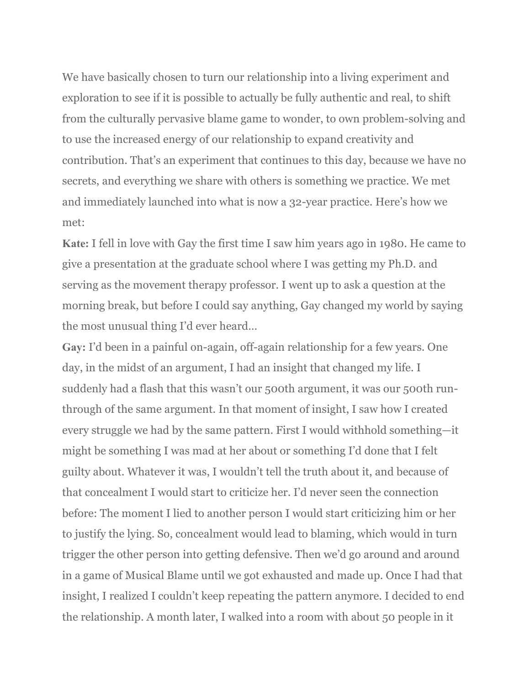We have basically chosen to turn our relationship into a living experiment and exploration to see if it is possible to actually be fully authentic and real, to shift from the culturally pervasive blame game to wonder, to own problem-solving and to use the increased energy of our relationship to expand creativity and contribution. That's an experiment that continues to this day, because we have no secrets, and everything we share with others is something we practice. We met and immediately launched into what is now a 32-year practice. Here's how we met:

**Kate:** I fell in love with Gay the first time I saw him years ago in 1980. He came to give a presentation at the graduate school where I was getting my Ph.D. and serving as the movement therapy professor. I went up to ask a question at the morning break, but before I could say anything, Gay changed my world by saying the most unusual thing I'd ever heard…

**Gay:** I'd been in a painful on-again, off-again relationship for a few years. One day, in the midst of an argument, I had an insight that changed my life. I suddenly had a flash that this wasn't our 500th argument, it was our 500th runthrough of the same argument. In that moment of insight, I saw how I created every struggle we had by the same pattern. First I would withhold something—it might be something I was mad at her about or something I'd done that I felt guilty about. Whatever it was, I wouldn't tell the truth about it, and because of that concealment I would start to criticize her. I'd never seen the connection before: The moment I lied to another person I would start criticizing him or her to justify the lying. So, concealment would lead to blaming, which would in turn trigger the other person into getting defensive. Then we'd go around and around in a game of Musical Blame until we got exhausted and made up. Once I had that insight, I realized I couldn't keep repeating the pattern anymore. I decided to end the relationship. A month later, I walked into a room with about 50 people in it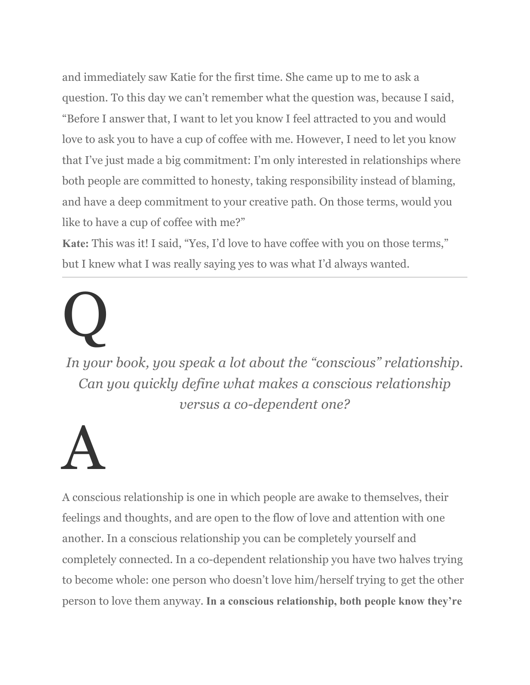and immediately saw Katie for the first time. She came up to me to ask a question. To this day we can't remember what the question was, because I said, "Before I answer that, I want to let you know I feel attracted to you and would love to ask you to have a cup of coffee with me. However, I need to let you know that I've just made a big commitment: I'm only interested in relationships where both people are committed to honesty, taking responsibility instead of blaming, and have a deep commitment to your creative path. On those terms, would you like to have a cup of coffee with me?"

**Kate:** This was it! I said, "Yes, I'd love to have coffee with you on those terms," but I knew what I was really saying yes to was what I'd always wanted.

# Q

*In your book, you speak a lot about the "conscious" relationship. Can you quickly define what makes a conscious relationship versus a co-dependent one?*

## A

A conscious relationship is one in which people are awake to themselves, their feelings and thoughts, and are open to the flow of love and attention with one another. In a conscious relationship you can be completely yourself and completely connected. In a co-dependent relationship you have two halves trying to become whole: one person who doesn't love him/herself trying to get the other person to love them anyway. **In a conscious relationship, both people know they're**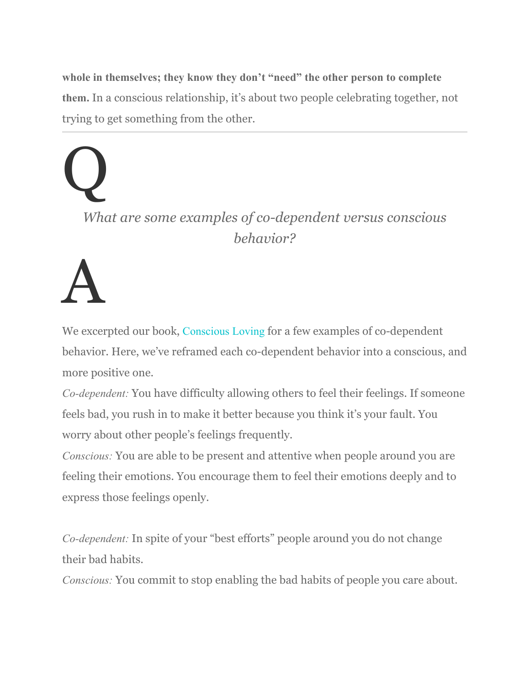**whole in themselves; they know they don't "need" the other person to complete them.** In a conscious relationship, it's about two people celebrating together, not trying to get something from the other.

Q *What are some examples of co-dependent versus conscious behavior?*

A

We excerpted our book, Conscious Loving for a few examples of co-dependent behavior. Here, we've reframed each co-dependent behavior into a conscious, and more positive one.

*Co-dependent:* You have difficulty allowing others to feel their feelings. If someone feels bad, you rush in to make it better because you think it's your fault. You worry about other people's feelings frequently.

*Conscious:* You are able to be present and attentive when people around you are feeling their emotions. You encourage them to feel their emotions deeply and to express those feelings openly.

*Co-dependent:* In spite of your "best efforts" people around you do not change their bad habits.

*Conscious:* You commit to stop enabling the bad habits of people you care about.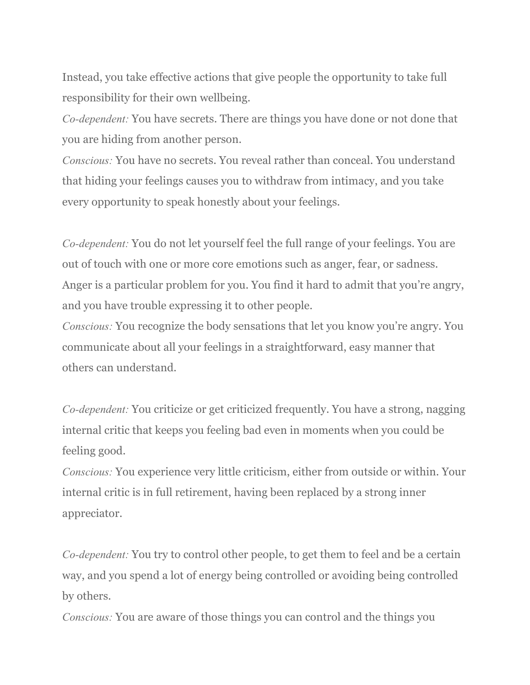Instead, you take effective actions that give people the opportunity to take full responsibility for their own wellbeing.

*Co-dependent:* You have secrets. There are things you have done or not done that you are hiding from another person.

*Conscious:* You have no secrets. You reveal rather than conceal. You understand that hiding your feelings causes you to withdraw from intimacy, and you take every opportunity to speak honestly about your feelings.

*Co-dependent:* You do not let yourself feel the full range of your feelings. You are out of touch with one or more core emotions such as anger, fear, or sadness. Anger is a particular problem for you. You find it hard to admit that you're angry, and you have trouble expressing it to other people.

*Conscious:* You recognize the body sensations that let you know you're angry. You communicate about all your feelings in a straightforward, easy manner that others can understand.

*Co-dependent:* You criticize or get criticized frequently. You have a strong, nagging internal critic that keeps you feeling bad even in moments when you could be feeling good.

*Conscious:* You experience very little criticism, either from outside or within. Your internal critic is in full retirement, having been replaced by a strong inner appreciator.

*Co-dependent:* You try to control other people, to get them to feel and be a certain way, and you spend a lot of energy being controlled or avoiding being controlled by others.

*Conscious:* You are aware of those things you can control and the things you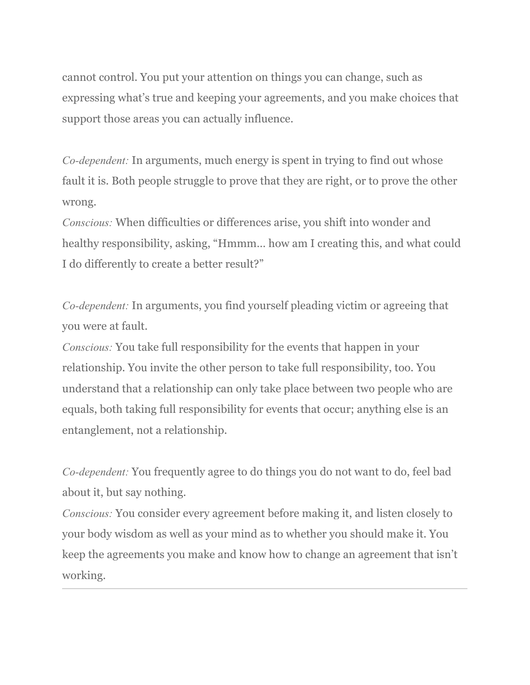cannot control. You put your attention on things you can change, such as expressing what's true and keeping your agreements, and you make choices that support those areas you can actually influence.

*Co-dependent:* In arguments, much energy is spent in trying to find out whose fault it is. Both people struggle to prove that they are right, or to prove the other wrong.

*Conscious:* When difficulties or differences arise, you shift into wonder and healthy responsibility, asking, "Hmmm… how am I creating this, and what could I do differently to create a better result?"

*Co-dependent:* In arguments, you find yourself pleading victim or agreeing that you were at fault.

*Conscious:* You take full responsibility for the events that happen in your relationship. You invite the other person to take full responsibility, too. You understand that a relationship can only take place between two people who are equals, both taking full responsibility for events that occur; anything else is an entanglement, not a relationship.

*Co-dependent:* You frequently agree to do things you do not want to do, feel bad about it, but say nothing.

*Conscious:* You consider every agreement before making it, and listen closely to your body wisdom as well as your mind as to whether you should make it. You keep the agreements you make and know how to change an agreement that isn't working.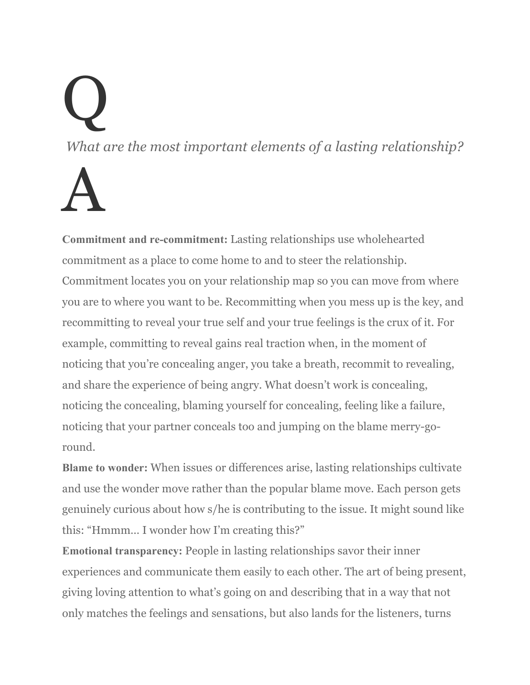## Q *What are the most important elements of a lasting relationship?* A

**Commitment and re-commitment:** Lasting relationships use wholehearted commitment as a place to come home to and to steer the relationship. Commitment locates you on your relationship map so you can move from where you are to where you want to be. Recommitting when you mess up is the key, and recommitting to reveal your true self and your true feelings is the crux of it. For example, committing to reveal gains real traction when, in the moment of noticing that you're concealing anger, you take a breath, recommit to revealing, and share the experience of being angry. What doesn't work is concealing, noticing the concealing, blaming yourself for concealing, feeling like a failure, noticing that your partner conceals too and jumping on the blame merry-goround.

**Blame to wonder:** When issues or differences arise, lasting relationships cultivate and use the wonder move rather than the popular blame move. Each person gets genuinely curious about how s/he is contributing to the issue. It might sound like this: "Hmmm… I wonder how I'm creating this?"

**Emotional transparency:** People in lasting relationships savor their inner experiences and communicate them easily to each other. The art of being present, giving loving attention to what's going on and describing that in a way that not only matches the feelings and sensations, but also lands for the listeners, turns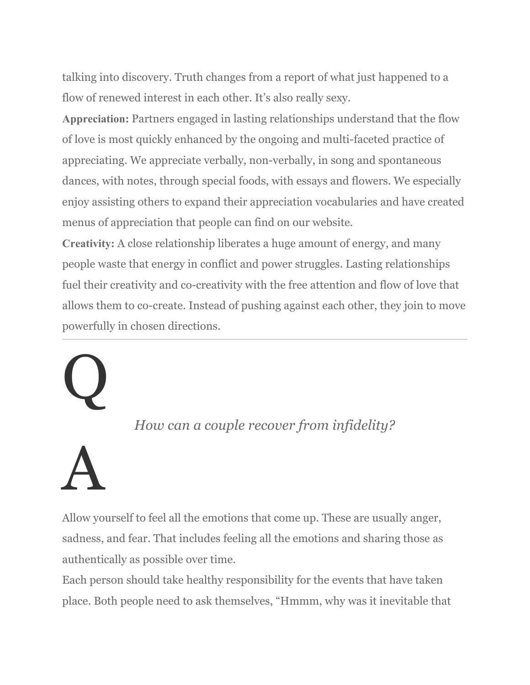talking into discovery. Truth changes from a report of what just happened to a flow of renewed interest in each other. It's also really sexy.

**Appreciation:** Partners engaged in lasting relationships understand that the flow of love is most quickly enhanced by the ongoing and multi-faceted practice of appreciating. We appreciate verbally, non-verbally, in song and spontaneous dances, with notes, through special foods, with essays and flowers. We especially enjoy assisting others to expand their appreciation vocabularies and have created menus of appreciation that people can find on our website.

**Creativity:** A close relationship liberates a huge amount of energy, and many people waste that energy in conflict and power struggles. Lasting relationships fuel their creativity and co-creativity with the free attention and flow of love that allows them to co-create. Instead of pushing against each other, they join to move powerfully in chosen directions.

#### *How can a couple recover from infidelity?*

## A

Q

Allow yourself to feel all the emotions that come up. These are usually anger, sadness, and fear. That includes feeling all the emotions and sharing those as authentically as possible over time.

Each person should take healthy responsibility for the events that have taken place. Both people need to ask themselves, "Hmmm, why was it inevitable that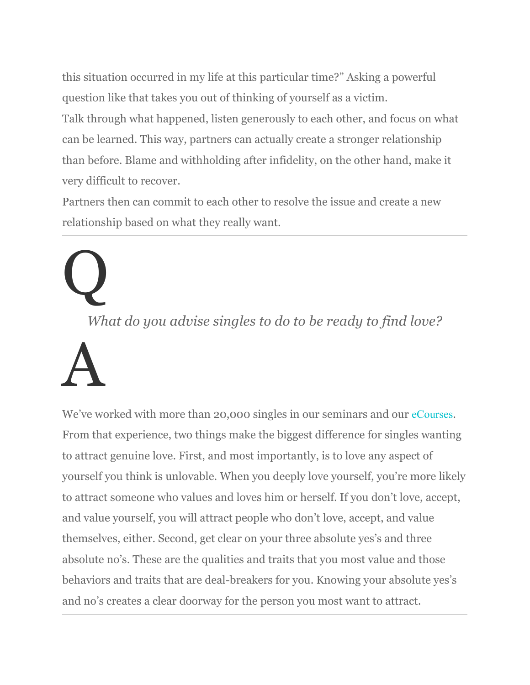this situation occurred in my life at this particular time?" Asking a powerful question like that takes you out of thinking of yourself as a victim. Talk through what happened, listen generously to each other, and focus on what can be learned. This way, partners can actually create a stronger relationship than before. Blame and withholding after infidelity, on the other hand, make it very difficult to recover.

Partners then can commit to each other to resolve the issue and create a new relationship based on what they really want.

# Q

*What do you advise singles to do to be ready to find love?*

## A

We've worked with more than 20,000 singles in our seminars and our eCourses. From that experience, two things make the biggest difference for singles wanting to attract genuine love. First, and most importantly, is to love any aspect of yourself you think is unlovable. When you deeply love yourself, you're more likely to attract someone who values and loves him or herself. If you don't love, accept, and value yourself, you will attract people who don't love, accept, and value themselves, either. Second, get clear on your three absolute yes's and three absolute no's. These are the qualities and traits that you most value and those behaviors and traits that are deal-breakers for you. Knowing your absolute yes's and no's creates a clear doorway for the person you most want to attract.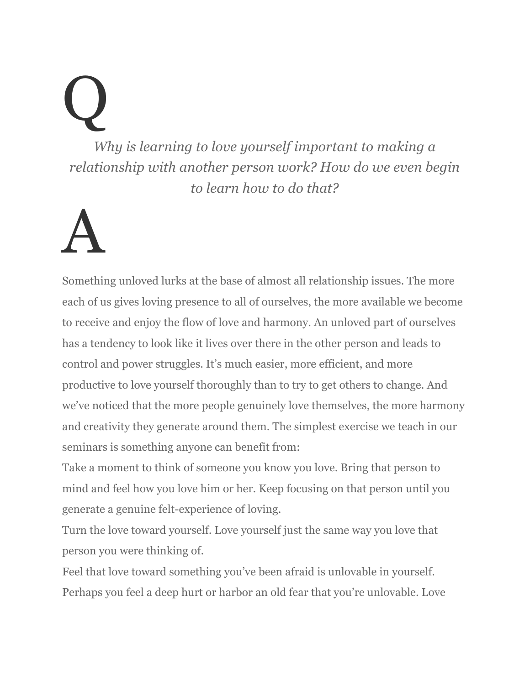Q *Why is learning to love yourself important to making a relationship with another person work? How do we even begin to learn how to do that?*

## A

Something unloved lurks at the base of almost all relationship issues. The more each of us gives loving presence to all of ourselves, the more available we become to receive and enjoy the flow of love and harmony. An unloved part of ourselves has a tendency to look like it lives over there in the other person and leads to control and power struggles. It's much easier, more efficient, and more productive to love yourself thoroughly than to try to get others to change. And we've noticed that the more people genuinely love themselves, the more harmony and creativity they generate around them. The simplest exercise we teach in our seminars is something anyone can benefit from:

Take a moment to think of someone you know you love. Bring that person to mind and feel how you love him or her. Keep focusing on that person until you generate a genuine felt-experience of loving.

Turn the love toward yourself. Love yourself just the same way you love that person you were thinking of.

Feel that love toward something you've been afraid is unlovable in yourself. Perhaps you feel a deep hurt or harbor an old fear that you're unlovable. Love